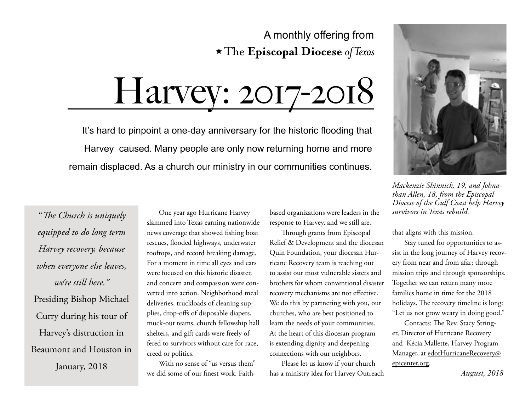### A monthly offering from  $\star$  The Episcopal Diocese of Texas

Harvey: 2017-2018

It's hard to pinpoint a one-day anniversary for the historic flooding that Harvey caused. Many people are only now returning home and more remain displaced. As a church our ministry in our communities continues.

*"The Church is uniquely equipped to do long term Harvey recovery, because when everyone else leaves, we're still here."*  Presiding Bishop Michael Curry during his tour of Harvey's distruction in Beaumont and Houston in

One year ago Hurricane Harvey slammed into Texas earning nationwide news coverage that showed fishing boat rescues, flooded highways, underwater rooftops, and record breaking damage. For a moment in time all eyes and ears were focused on this historic disaster, and concern and compassion were converted into action. Neighborhood meal deliveries, truckloads of cleaning supplies, drop-offs of disposable diapers, muck-out teams, church fellowship hall shelters, and gift cards were freely offered to survivors without care for race, creed or politics.

With no sense of "us versus them" we did some of our finest work. Faithbased organizations were leaders in the response to Harvey, and we still are.

Through grants from Episcopal Relief & Development and the diocesan Quin Foundation, your diocesan Hurricane Recovery team is reaching out to assist our most vulnerable sisters and brothers for whom conventional disaster recovery mechanisms are not effective. We do this by partnering with you, our churches, who are best positioned to learn the needs of your communities. At the heart of this diocesan program is extending dignity and deepening connections with our neighbors.

Please let us know if your church January, 2018 <sup>With no sense of "us versus them" Please let us know if your church e<u>picenter.org</u>.<br>3018 we did some of our finest work. Faith- has a ministry idea for Harvey Outreach *August, 2018*</sup>



*Mackenzie Shinnick, 19, and Johnathan Allen, 18, from the Episcopal Diocese of the Gulf Coast help Harvey survivors in Texas rebuild.* 

that aligns with this mission.

Stay tuned for opportunities to assist in the long journey of Harvey recovery from near and from afar; through mission trips and through sponsorships. Together we can return many more families home in time for the 2018 holidays. The recovery timeline is long: "Let us not grow weary in doing good."

Contacts: The Rev. Stacy Stringer, Director of Hurricane Recovery and Kėcia Mallette, Harvey Program Manager, at [edotHurricaneRecovery@](edotHurricaneRecovery@epicenter.org) [epicenter.org.](edotHurricaneRecovery@epicenter.org)